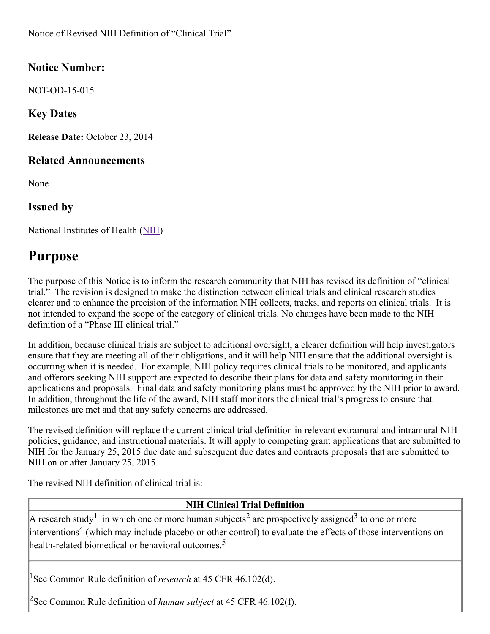## Notice Number:

NOT-OD-15-015

## Key Dates

Release Date: October 23, 2014

#### Related Announcements

None

#### Issued by

National Institutes of Health [\(NIH\)](http://www.nih.gov/)

# Purpose

The purpose of this Notice is to inform the research community that NIH has revised its definition of "clinical trial." The revision is designed to make the distinction between clinical trials and clinical research studies clearer and to enhance the precision of the information NIH collects, tracks, and reports on clinical trials. It is not intended to expand the scope of the category of clinical trials. No changes have been made to the NIH definition of a "Phase III clinical trial."

In addition, because clinical trials are subject to additional oversight, a clearer definition will help investigators ensure that they are meeting all of their obligations, and it will help NIH ensure that the additional oversight is occurring when it is needed. For example, NIH policy requires clinical trials to be monitored, and applicants and offerors seeking NIH support are expected to describe their plans for data and safety monitoring in their applications and proposals. Final data and safety monitoring plans must be approved by the NIH prior to award. In addition, throughout the life of the award, NIH staff monitors the clinical trial's progress to ensure that milestones are met and that any safety concerns are addressed.

The revised definition will replace the current clinical trial definition in relevant extramural and intramural NIH policies, guidance, and instructional materials. It will apply to competing grant applications that are submitted to NIH for the January 25, 2015 due date and subsequent due dates and contracts proposals that are submitted to NIH on or after January 25, 2015.

The revised NIH definition of clinical trial is:

#### NIH Clinical Trial Definition

A research study<sup>1</sup> in which one or more human subjects<sup>2</sup> are prospectively assigned<sup>3</sup> to one or more interventions 4 (which may include placebo or other control) to evaluate the effects of those interventions on health-related biomedical or behavioral outcomes.<sup>5</sup>

<sup>1</sup>See Common Rule definition of *research* at 45 CFR 46.102(d).

<sup>2</sup>See Common Rule definition of *human subject* at 45 CFR 46.102(f).